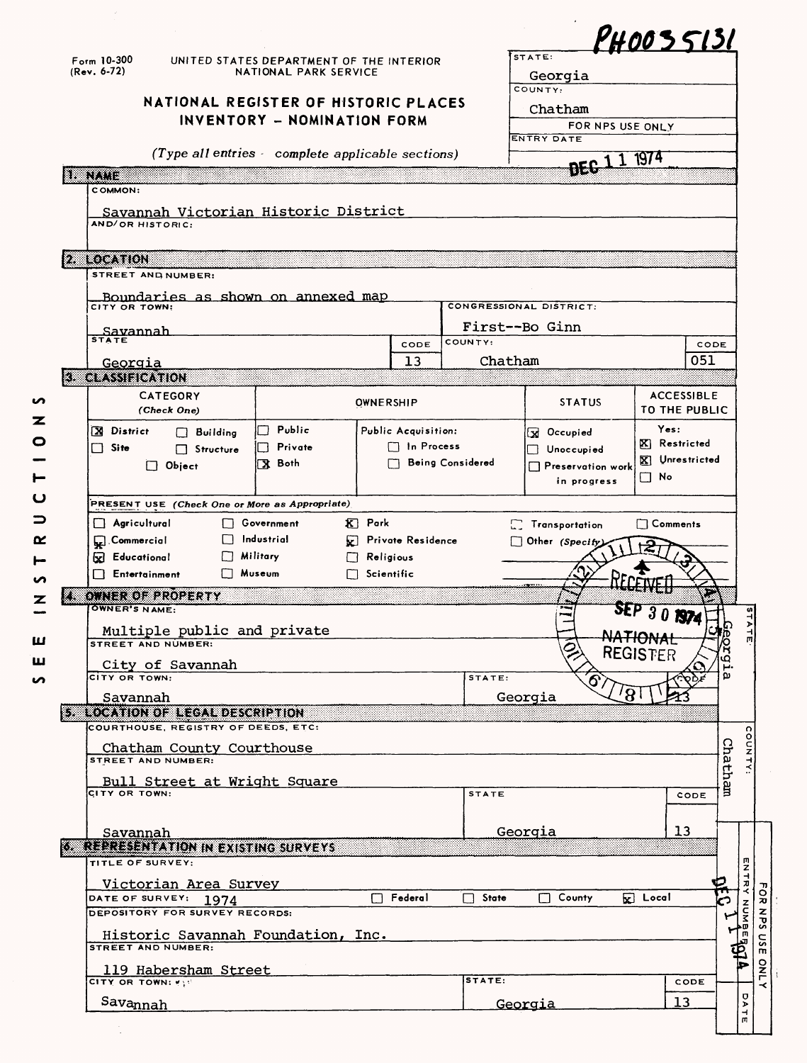|        |                                                                                                               |                                       |                                                   |                   |                                   |                         |                         |                          |                         | PH0035131         |
|--------|---------------------------------------------------------------------------------------------------------------|---------------------------------------|---------------------------------------------------|-------------------|-----------------------------------|-------------------------|-------------------------|--------------------------|-------------------------|-------------------|
|        | $F_{\text{orm}}$ 10-300<br>UNITED STATES DEPARTMENT OF THE INTERIOR<br>$(Rev. 6-72)$<br>NATIONAL PARK SERVICE |                                       |                                                   |                   |                                   | STATE:                  |                         |                          |                         |                   |
|        |                                                                                                               |                                       |                                                   |                   |                                   |                         | Georgia<br>COUNTY:      |                          |                         |                   |
|        |                                                                                                               |                                       | NATIONAL REGISTER OF HISTORIC PLACES              |                   |                                   |                         |                         |                          |                         |                   |
|        |                                                                                                               |                                       | INVENTORY - NOMINATION FORM                       |                   |                                   |                         | Chatham                 |                          |                         |                   |
|        |                                                                                                               |                                       |                                                   |                   |                                   |                         |                         | FOR NPS USE ONLY         |                         |                   |
|        |                                                                                                               |                                       | (Type all entries - complete applicable sections) |                   |                                   |                         | <b>ENTRY DATE</b>       |                          |                         |                   |
|        |                                                                                                               |                                       |                                                   |                   |                                   |                         |                         | <b>DEC</b> <sub>1</sub>  | 1 1974                  |                   |
| Lavine | COMMON:<br>AND/OR HISTORIC:                                                                                   |                                       | Savannah Victorian Historic District              |                   |                                   |                         |                         |                          |                         |                   |
|        | 2. LOCATION                                                                                                   |                                       |                                                   |                   |                                   |                         |                         |                          |                         |                   |
|        | STREET AND NUMBER:                                                                                            |                                       |                                                   |                   |                                   |                         |                         |                          |                         |                   |
|        |                                                                                                               |                                       |                                                   |                   |                                   |                         |                         |                          |                         |                   |
|        | CITY OR TOWN:                                                                                                 |                                       | Boundaries as shown on annexed map                |                   |                                   |                         | CONGRESSIONAL DISTRICT: |                          |                         |                   |
|        |                                                                                                               |                                       |                                                   |                   |                                   |                         | First--Bo Ginn          |                          |                         |                   |
|        | Savannah<br><b>STATE</b>                                                                                      |                                       |                                                   |                   | CODE                              | COUNTY:                 |                         |                          |                         | CODE              |
|        |                                                                                                               |                                       |                                                   |                   |                                   |                         |                         |                          |                         |                   |
|        | Georgia                                                                                                       |                                       |                                                   |                   | 13                                |                         | Chatham                 |                          |                         | 051               |
|        | <b>3 CLASSIFICATION</b>                                                                                       |                                       |                                                   |                   |                                   |                         |                         |                          |                         |                   |
|        |                                                                                                               | <b>CATEGORY</b><br>(Check One)        |                                                   | OWNERSHIP         |                                   |                         |                         | <b>STATUS</b>            | TO THE PUBLIC           | <b>ACCESSIBLE</b> |
|        | <b>X</b> District                                                                                             | $\Box$ Building                       | Public                                            |                   | Public Acquisition:               |                         | <b>St</b> Occupied      |                          | Yes:                    |                   |
|        | $\Box$ Site                                                                                                   | $\Box$ Structure                      | Private                                           |                   | n Process                         |                         | $\Box$ Unoccupied       |                          | $\mathbf{X}$ Restricted |                   |
|        |                                                                                                               | $\Box$ Object                         | 【X Both                                           |                   |                                   | <b>Being Considered</b> |                         | $\Box$ Preservation work | Vnrestricted            |                   |
|        |                                                                                                               |                                       |                                                   |                   |                                   |                         |                         | in progress              | $\Box$ No               |                   |
|        |                                                                                                               |                                       |                                                   |                   |                                   |                         |                         |                          |                         |                   |
|        |                                                                                                               |                                       | PRESENT USE (Check One or More as Appropriate)    |                   |                                   |                         |                         |                          |                         |                   |
|        | Agricultural                                                                                                  |                                       | Government                                        | $\mathbf{K}$ Park |                                   |                         | <b>Transportation</b>   |                          | $\Box$ Comments         |                   |
|        | Commercial                                                                                                    |                                       | Industrial                                        |                   | <b>External Private Residence</b> |                         | Other (Specify)         |                          |                         |                   |
|        | <b>Educational</b>                                                                                            |                                       | Military                                          | $\Box$ Religious  |                                   |                         |                         |                          |                         |                   |
|        | $\Box$ Entertainment                                                                                          |                                       | Museum                                            | $\Box$ Scientific |                                   |                         |                         |                          |                         |                   |
| 83     |                                                                                                               |                                       |                                                   |                   |                                   |                         |                         |                          |                         |                   |
|        | OWNER'S NAME:                                                                                                 |                                       |                                                   |                   |                                   |                         |                         |                          |                         |                   |
|        |                                                                                                               | OWNER OF EROPERTY                     |                                                   |                   |                                   |                         |                         |                          |                         |                   |
|        |                                                                                                               |                                       |                                                   |                   |                                   |                         |                         |                          |                         |                   |
|        |                                                                                                               |                                       | Multiple public and private                       |                   |                                   |                         |                         |                          |                         |                   |
|        | STREET AND NUMBE                                                                                              |                                       |                                                   |                   |                                   |                         |                         |                          | <b>REGISTER</b>         | 'n<br>٥           |
|        | CITY OR TOWN:                                                                                                 | City of Savannah                      |                                                   |                   |                                   |                         |                         |                          |                         | ω                 |
|        |                                                                                                               |                                       |                                                   |                   |                                   | STATE:                  |                         |                          |                         |                   |
|        | Savannah                                                                                                      |                                       |                                                   |                   |                                   |                         | Georgia                 |                          |                         |                   |
|        |                                                                                                               | 5 LOCATION OF LEGAL DESCRIPTION       |                                                   |                   |                                   |                         |                         |                          |                         |                   |
|        |                                                                                                               | COURTHOUSE, REGISTRY OF DEEDS, ETC:   |                                                   |                   |                                   |                         |                         |                          |                         |                   |
|        |                                                                                                               | Chatham County Courthouse             |                                                   |                   |                                   |                         |                         |                          |                         |                   |
|        | <b>STREET AND NUMBER:</b>                                                                                     |                                       |                                                   |                   |                                   |                         |                         |                          |                         |                   |
|        |                                                                                                               |                                       | Bull Street at Wright Square                      |                   |                                   |                         |                         |                          |                         |                   |
|        | CITY OR TOWN:                                                                                                 |                                       |                                                   |                   |                                   | <b>STATE</b>            |                         |                          |                         | Chatham<br>CODE   |
|        |                                                                                                               |                                       |                                                   |                   |                                   |                         |                         |                          |                         |                   |
|        | Savannah                                                                                                      |                                       |                                                   |                   |                                   |                         | <u>Georgia</u>          |                          |                         | 13                |
|        |                                                                                                               |                                       | <b>6 REPRESENTATION IN EXISTING SURVEYS</b>       |                   |                                   |                         |                         |                          |                         |                   |
|        | TITLE OF SURVEY:                                                                                              |                                       |                                                   |                   |                                   |                         |                         |                          |                         |                   |
|        |                                                                                                               | Victorian Area Survey                 |                                                   |                   |                                   |                         |                         |                          |                         |                   |
|        |                                                                                                               | DATE OF SURVEY: 1974                  |                                                   |                   | Federal                           | State<br>П              | $\Box$ County           |                          | $\mathbf{K}$ Local      | $\mathbf{F}$      |
|        |                                                                                                               | <b>DEPOSITORY FOR SURVEY RECORDS:</b> |                                                   |                   |                                   |                         |                         |                          |                         |                   |
|        |                                                                                                               |                                       |                                                   |                   |                                   |                         |                         |                          |                         |                   |
|        | <b>STREET AND NUMBER:</b>                                                                                     |                                       | Historic Savannah Foundation, Inc.                |                   |                                   |                         |                         |                          |                         |                   |
|        |                                                                                                               |                                       |                                                   |                   |                                   |                         |                         |                          |                         |                   |
|        |                                                                                                               | 119 Habersham Street                  |                                                   |                   |                                   | STATE:                  |                         |                          |                         |                   |
|        | CITY OR TOWN: Y<br>Savannah                                                                                   |                                       |                                                   |                   |                                   |                         | <u>Georgia</u>          |                          |                         | CODE<br>13        |

Ť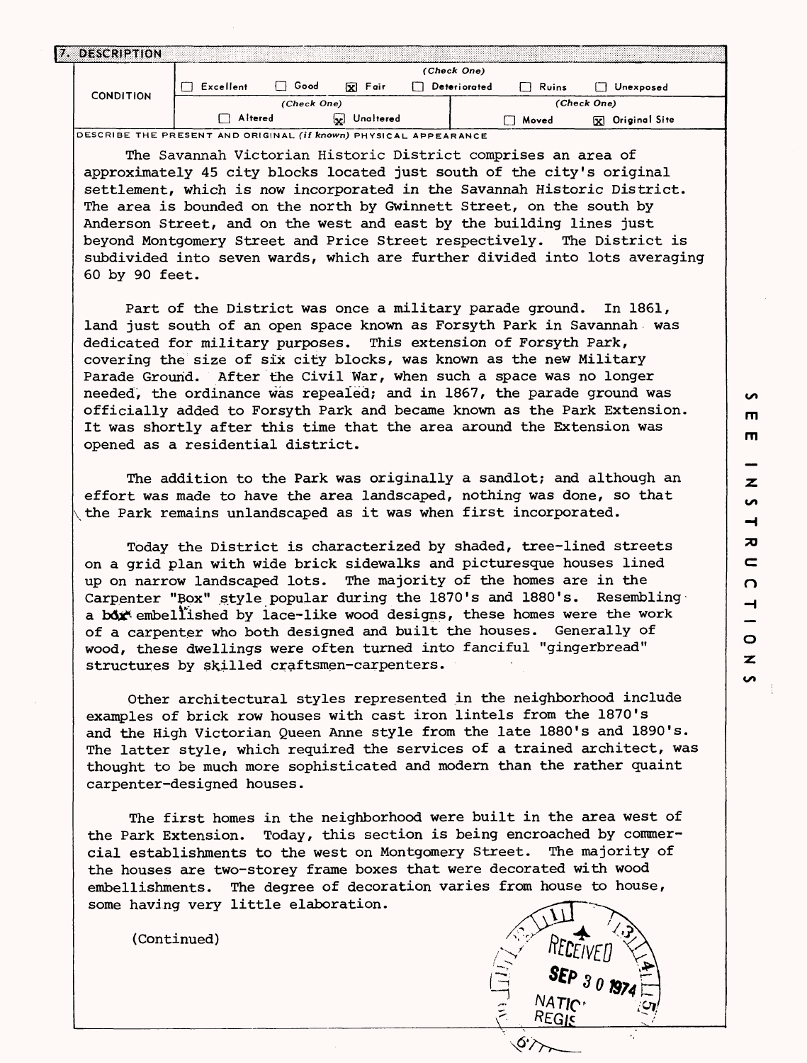| 7. DESCRIPTION   |           |                     |                |                       |             |           |                         |
|------------------|-----------|---------------------|----------------|-----------------------|-------------|-----------|-------------------------|
|                  |           |                     |                |                       | (Check One) |           |                         |
|                  | Excellent | Good<br>Foir<br>ГxІ |                | Deteriorated<br>Ruins |             | Unexposed |                         |
| <b>CONDITION</b> |           | (Check One)         |                |                       |             |           | (Check One)             |
|                  | Altered   |                     | Unaltered<br>⊡ |                       |             | Moved     | <b>XX</b> Original Site |

**DESCRIBE THE PRESENT AND ORIGINAL (if known) PHYSICAL APPEARANCE**

The Savannah Victorian Historic District comprises an area of approximately 45 city blocks located just south of the city's original settlement, which is now incorporated in the Savannah Historic District. The area is bounded on the north by Gwinnett Street, on the south by Anderson Street, and on the west and east by the building lines just beyond Montgomery Street and Price Street respectively. The District is subdivided into seven wards, which are further divided into lots averaging 60 by 90 feet.

Part of the District was once a military parade ground. In 1861, land just south of an open space known as Forsyth Park in Savannah was dedicated for military purposes. This extension of Forsyth Park, covering the size of six city blocks, was known as the new Military Parade Ground. After the Civil War, when such a space was no longer needed, the ordinance was repealed; and in 1867, the parade ground was officially added to Forsyth Park and became known as the Park Extension. It was shortly after this time that the area around the Extension was opened as a residential district.

The addition to the Park was originally a sandlot; and although an effort was made to have the area landscaped, nothing was done, so that the Park remains unlandscaped as it was when first incorporated.

Today the District is characterized by shaded, tree-lined streets on a grid plan with wide brick sidewalks and picturesque houses lined up on narrow landscaped lots. The majority of the homes are in the Carpenter "Box" style popular during the 1870's and 1880's. Resembling a box embellished by lace-like wood designs, these homes were the work of a carpenter who both designed and built the houses. Generally of wood, these dwellings were often turned into fanciful "gingerbread" structures by skilled craftsmen-carpenters.

Other architectural styles represented in the neighborhood include examples of brick row houses with cast iron lintels from the 1870's and the High Victorian Queen Anne style from the late 1880's and 1890's. The latter style, which required the services of a trained architect, was thought to be much more sophisticated and modern than the rather quaint carpenter-designed houses.

The first homes in the neighborhood were built in the area west of the Park Extension. Today, this section is being encroached by commercial establishments to the west on Montgomery Street. The majority of the houses are two-storey frame boxes that were decorated with wood embellishments. The degree of decoration varies from house to house, some having very little elaboration.

(Continued)



**in**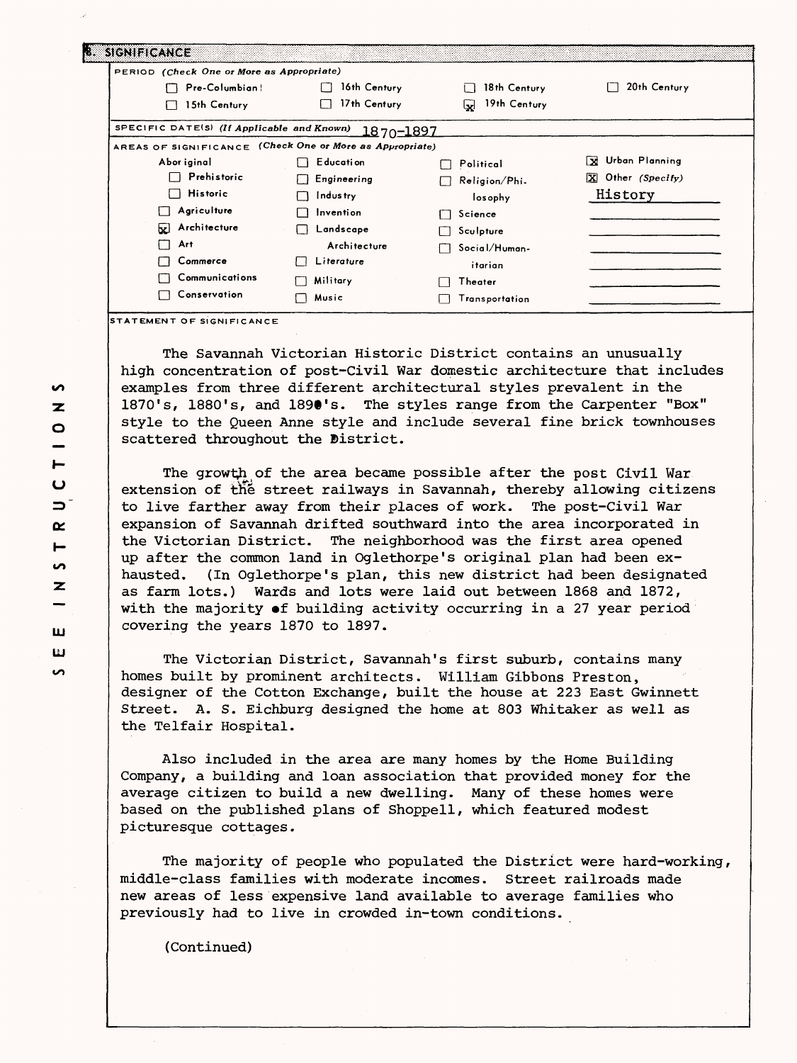| PERIOD (Check One or More as Appropriate)                |                  |                      |                                      |
|----------------------------------------------------------|------------------|----------------------|--------------------------------------|
| Pre-Columbian!                                           | 16th Century     | 18th Century         | 20th Century                         |
| 15th Century                                             | 17th Century     | 19th Century<br>ابجا |                                      |
| SPECIFIC DATE(S) (If Applicable and Known)               | <u>1870-1897</u> |                      |                                      |
| AREAS OF SIGNIFICANCE (Check One or More as Appropriate) |                  |                      |                                      |
| Abor iginal                                              | <b>Education</b> | Political            | Urban Planning<br>lх                 |
| Prehistoric                                              | Engineering      | Religion/Phi.        | $\boxed{\mathbf{X}}$ Other (Specify) |
| Historic                                                 | Industry         | losophy              | History                              |
| Agriculture                                              | Invention        | Science              |                                      |
| X Architecture                                           | Landscape        | Sculpture            |                                      |
| Art                                                      | Architecture     | Social/Human-        |                                      |
| Commerce                                                 | Literature       | itarian              |                                      |
| Communications                                           | Military         | Theater              |                                      |
| Conservation                                             | Music            | Transportation       |                                      |

**STATEMENT OF SIGNIFICANCE**

The Savannah Victorian Historic District contains an unusually high concentration of post-Civil War domestic architecture that includes examples from three different architectural styles prevalent in the 1870's, 1880's, and 1890's. The styles range from the Carpenter "Box" style to the Queen Anne style and include several fine brick townhouses scattered throughout the District.

The growth of the area became possible after the post Civil War extension of the street railways in Savannah, thereby allowing citizens to live farther away from their places of work. The post-Civil War expansion of Savannah drifted southward into the area incorporated in the Victorian District. The neighborhood was the first area opened up after the common land in Oglethorpe's original plan had been exhausted. (In Oglethorpe's plan, this new district had been designated as farm lots.) Wards and lots were laid out between 1868 and 1872, with the majority »f building activity occurring in a 27 year period covering the years 1870 to 1897.

The Victorian District, Savannah's first suburb, contains many homes built by prominent architects. William Gibbons Preston, designer of the Cotton Exchange, built the house at 223 East Gwinnett Street. A. S. Eichburg designed the home at 803 Whitaker as well as the Telfair Hospital.

Also included in the area are many homes by the Home Building Company, a building and loan association that provided money for the average citizen to build a new dwelling. Many of these homes were based on the published plans of Shoppell, which featured modest picturesque cottages.

The majority of people who populated the District were hard-working, middle-class families with moderate incomes. Street railroads made new areas of less expensive land available to average families who previously had to live in crowded in-town conditions.

(Continued)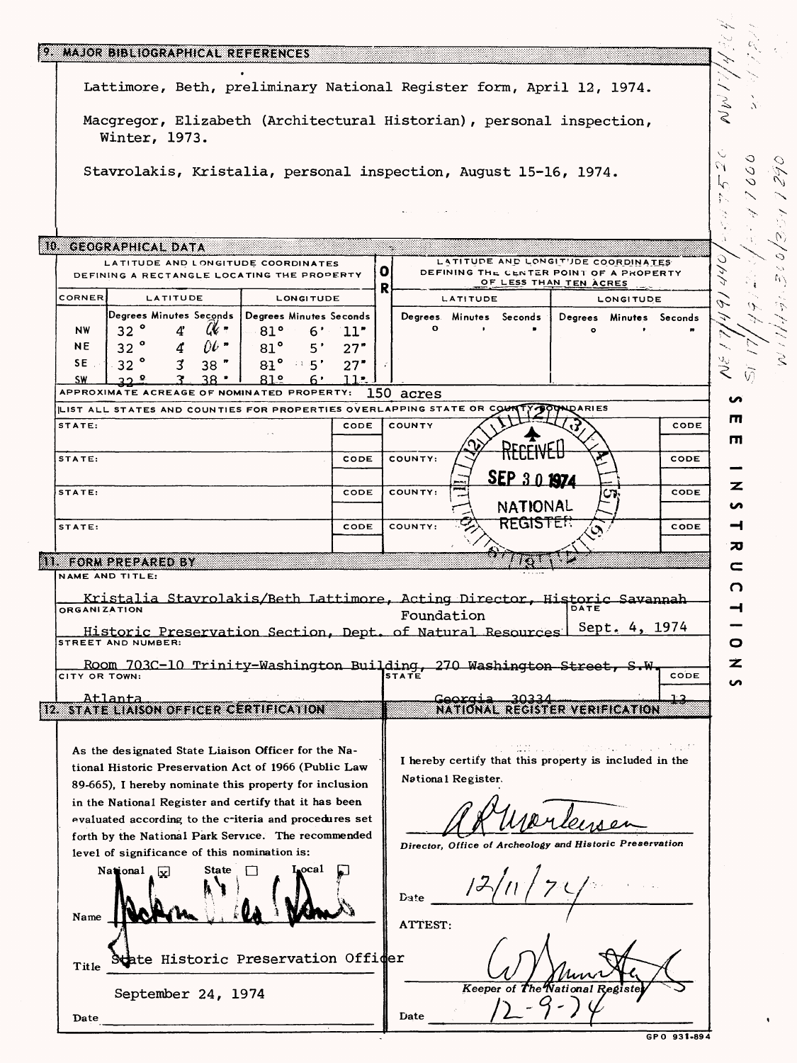|                     | 9. MAJOR BIBLIOGRAPHICAL REFERENCES                                                                                                                                                                                                                                                                                                                                                                                                                                                   |                                 |            |    |                 |                                 |                         |                                                                                                                                                          |              |               |                |
|---------------------|---------------------------------------------------------------------------------------------------------------------------------------------------------------------------------------------------------------------------------------------------------------------------------------------------------------------------------------------------------------------------------------------------------------------------------------------------------------------------------------|---------------------------------|------------|----|-----------------|---------------------------------|-------------------------|----------------------------------------------------------------------------------------------------------------------------------------------------------|--------------|---------------|----------------|
|                     | Lattimore, Beth, preliminary National Register form, April 12, 1974.                                                                                                                                                                                                                                                                                                                                                                                                                  |                                 |            |    |                 |                                 |                         |                                                                                                                                                          |              |               |                |
|                     | Macgregor, Elizabeth (Architectural Historian), personal inspection,<br>Winter, 1973.                                                                                                                                                                                                                                                                                                                                                                                                 |                                 |            |    |                 |                                 |                         |                                                                                                                                                          |              | $\mathcal{N}$ |                |
|                     |                                                                                                                                                                                                                                                                                                                                                                                                                                                                                       |                                 |            |    |                 |                                 |                         |                                                                                                                                                          |              | $\circ$       | O              |
|                     | Stavrolakis, Kristalia, personal inspection, August 15-16, 1974.                                                                                                                                                                                                                                                                                                                                                                                                                      |                                 |            |    |                 |                                 |                         |                                                                                                                                                          |              | V<br>O<br>U   |                |
|                     |                                                                                                                                                                                                                                                                                                                                                                                                                                                                                       |                                 |            |    |                 |                                 |                         |                                                                                                                                                          |              |               |                |
|                     | 10. GEOGRAPHICAL DATA                                                                                                                                                                                                                                                                                                                                                                                                                                                                 |                                 |            |    | w.              |                                 |                         |                                                                                                                                                          |              |               | 0              |
|                     | LATITUDE AND LONGITUDE COORDINATES<br>DEFINING A RECTANGLE LOCATING THE PROPERTY                                                                                                                                                                                                                                                                                                                                                                                                      |                                 |            | O. |                 |                                 |                         | LATITUDE AND LONGITUDE COORDINATES<br>DEFINING THE CENTER POINT OF A PROPERTY<br>OF LESS THAN TEN ACRES                                                  |              |               | ĸ.<br>$\alpha$ |
| CORNER              | LATITUDE                                                                                                                                                                                                                                                                                                                                                                                                                                                                              | LONGITUDE                       |            | R  |                 | LATITUDE                        |                         | <b>LONGITUDE</b>                                                                                                                                         |              |               |                |
|                     | Degrees Minutes Seconds   Degrees Minutes Seconds                                                                                                                                                                                                                                                                                                                                                                                                                                     |                                 |            |    |                 |                                 | Degrees Minutes Seconds | Degrees Minutes Seconds                                                                                                                                  |              |               |                |
| <b>NW</b><br>NE     | 32°<br>$u \cdot$<br>4<br>32 <sup>o</sup><br>$0\ell$ "<br>4                                                                                                                                                                                                                                                                                                                                                                                                                            | 81°<br>∙6<br>$81^{\circ}$<br>5' | 11"<br>27" |    | $\circ$         |                                 |                         |                                                                                                                                                          |              |               |                |
| SE.                 | 32<br>3<br>$38$ $"$                                                                                                                                                                                                                                                                                                                                                                                                                                                                   | 81°<br>$\cdots$ 5'              | 27"        |    |                 |                                 |                         |                                                                                                                                                          |              |               |                |
| <u>SW</u>           | ว.ค<br>APPROXIMATE ACREAGE OF NOMINATED PROPERTY: 150 acres                                                                                                                                                                                                                                                                                                                                                                                                                           | 81.2<br>6'                      | 11         |    |                 |                                 |                         |                                                                                                                                                          |              |               |                |
|                     | LIST ALL STATES AND COUNTIES FOR PROPERTIES OVERLAPPING STATE OR COU                                                                                                                                                                                                                                                                                                                                                                                                                  |                                 |            |    |                 |                                 |                         | <b>LDARIES</b>                                                                                                                                           |              |               |                |
| STATE:              |                                                                                                                                                                                                                                                                                                                                                                                                                                                                                       |                                 | CODE       |    | COUNTY          |                                 |                         |                                                                                                                                                          | CODE         | Ш             |                |
|                     |                                                                                                                                                                                                                                                                                                                                                                                                                                                                                       |                                 |            |    |                 |                                 |                         |                                                                                                                                                          |              | п             |                |
| STATE:              |                                                                                                                                                                                                                                                                                                                                                                                                                                                                                       |                                 | CODE       |    | COUNTY:         |                                 |                         |                                                                                                                                                          | CODE         |               |                |
| STATE:              |                                                                                                                                                                                                                                                                                                                                                                                                                                                                                       |                                 | CODE       |    | COUNTY:         |                                 | SEP 3.0 1974            |                                                                                                                                                          | CODE         | z             |                |
|                     |                                                                                                                                                                                                                                                                                                                                                                                                                                                                                       |                                 |            |    |                 |                                 | NATIONAL                |                                                                                                                                                          |              | ပ             |                |
| STATE:              |                                                                                                                                                                                                                                                                                                                                                                                                                                                                                       |                                 | CODE       |    | COUNTY:         |                                 | <b>REGISTER</b>         |                                                                                                                                                          | CODE         | ⊣             |                |
|                     | <b>NE FORM DREDAR EDITY</b>                                                                                                                                                                                                                                                                                                                                                                                                                                                           |                                 |            |    |                 |                                 |                         |                                                                                                                                                          |              | 70            |                |
|                     | NAME AND TITLE:                                                                                                                                                                                                                                                                                                                                                                                                                                                                       |                                 |            |    |                 |                                 |                         |                                                                                                                                                          |              | c             |                |
| <b>ORGANIZATION</b> | Kristalia Stavrolakis/Beth Lattimore, Acting Director, Historic Savannah                                                                                                                                                                                                                                                                                                                                                                                                              |                                 |            |    |                 |                                 |                         |                                                                                                                                                          |              | O             |                |
| <b>STREI</b>        | Historic Preservation Section, Dept. of Natural Resources Sept. 4, 1974                                                                                                                                                                                                                                                                                                                                                                                                               |                                 |            |    | Foundation      |                                 |                         |                                                                                                                                                          |              |               |                |
| CITY OR TOWN:       | Room 703C-10 Trinity-Washington Building, 270 Washington Street, S.W.<br>COR TOWN:                                                                                                                                                                                                                                                                                                                                                                                                    |                                 |            |    |                 |                                 |                         |                                                                                                                                                          | CODE         | z             |                |
|                     |                                                                                                                                                                                                                                                                                                                                                                                                                                                                                       |                                 |            |    |                 |                                 |                         |                                                                                                                                                          |              | ທ             |                |
|                     | Atlanta<br><b>EXAMPLE ALSON OFFICER CERTIFICATION</b>                                                                                                                                                                                                                                                                                                                                                                                                                                 |                                 |            |    |                 | Georgia                         | 30334                   | NATIONAL REGISTER VERIFICATION                                                                                                                           |              |               |                |
| Name<br>Title       | As the designated State Liaison Officer for the Na-<br>tional Historic Preservation Act of 1966 (Public Law<br>89-665), I hereby nominate this property for inclusion<br>in the National Register and certify that it has been<br>evaluated according to the criteria and procedures set<br>forth by the National Park Service. The recommended<br>level of significance of this nomination is:<br><b>State</b><br>National $\lfloor x \rfloor$<br>tate Historic Preservation Offider | Local                           |            |    | Date<br>ATTEST: | National Register.<br>Keeper of |                         | to time as a comparative and faith<br>I hereby certify that this property is included in the<br>Director, Office of Archeology and Historic Preservation |              |               |                |
| Date                | September 24, 1974                                                                                                                                                                                                                                                                                                                                                                                                                                                                    |                                 |            |    | Date            |                                 |                         |                                                                                                                                                          |              |               |                |
|                     |                                                                                                                                                                                                                                                                                                                                                                                                                                                                                       |                                 |            |    |                 |                                 |                         |                                                                                                                                                          | GP 0 931-894 |               |                |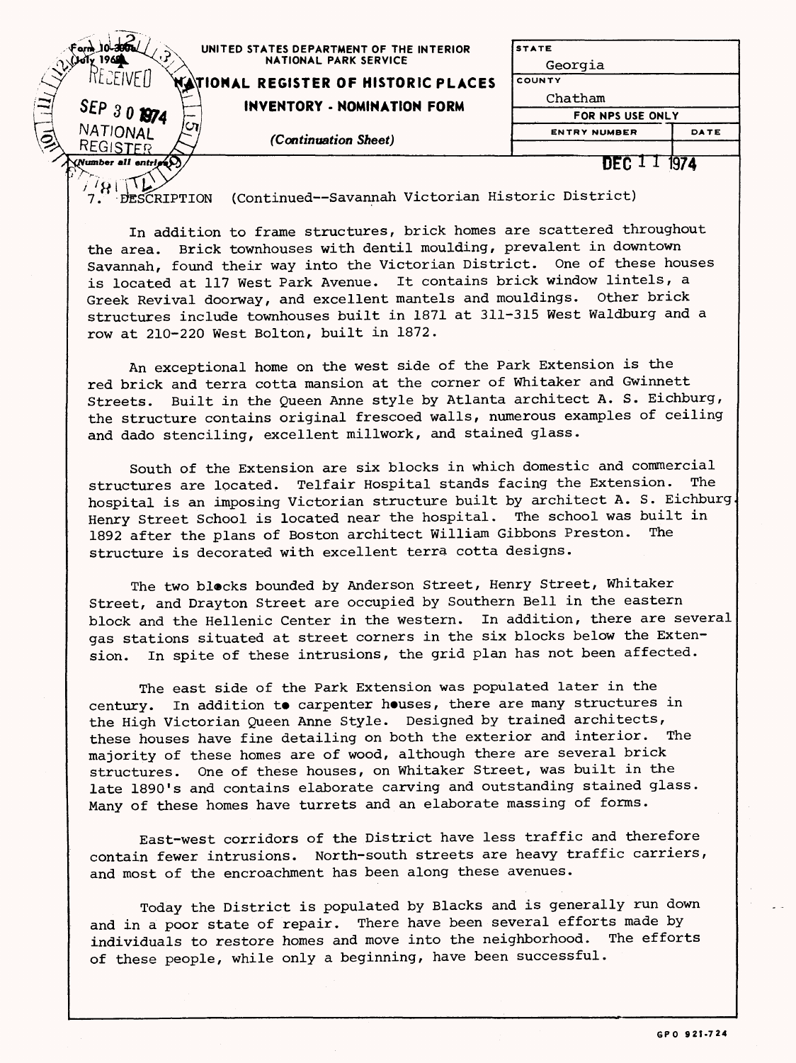| am 10-300a<br>UNITED STATES DEPARTMENT OF THE INTERIOR<br>1969<br><b>NATIONAL PARK SERVICE</b><br>WATIONAL REGISTER OF HISTORIC PLACES | <b>STATE</b><br>Georgia<br>COUNTY |      |
|----------------------------------------------------------------------------------------------------------------------------------------|-----------------------------------|------|
| $\left(\equiv\right)$<br>SEP 30 1974<br>INVENTORY - NOMINATION FORM                                                                    | Chatham<br>FOR NPS USE ONLY       |      |
| תי<br>NATIONAL<br>(Continuation Sheet)<br>REGISTER                                                                                     | <b>ENTRY NUMBER</b>               | DATE |
| (Number all entries)                                                                                                                   | nFC J                             | 1974 |

ion<br>7. DESCRIPTION (Continued--Savannah Victorian Historic District)

In addition to frame structures, brick homes are scattered throughout the area. Brick townhouses with dentil moulding, prevalent in downtown Savannah, found their way into the Victorian District. One of these houses is located at 117 West Park Avenue. It contains brick window lintels, a Greek Revival doorway, and excellent mantels and mouldings. Other brick structures include townhouses built in 1871 at 311-315 West Waldburg and a row at 210-220 West Bolton, built in 1872.

An exceptional home on the west side of the Park Extension is the red brick and terra cotta mansion at the corner of Whitaker and Gwinnett Streets. Built in the Queen Anne style by Atlanta architect A. S. Eichburg, the structure contains original frescoed walls, numerous examples of ceiling and dado stenciling, excellent millwork, and stained glass.

South of the Extension are six blocks in which domestic and commercial structures are located. Telfair Hospital stands facing the Extension. The hospital is an imposing Victorian structure built by architect A. S. Eichburg Henry Street School is located near the hospital. The school was built in 1892 after the plans of Boston architect William Gibbons Preston. The structure is decorated with excellent terra cotta designs.

The two blocks bounded by Anderson Street, Henry Street, Whitaker Street, and Drayton Street are occupied by Southern Bell in the eastern block and the Hellenic Center in the western. In addition, there are several gas stations situated at street corners in the six blocks below the Extension. In spite of these intrusions, the grid plan has not been affected.

The east side of the Park Extension was populated later in the century. In addition to carpenter houses, there are many structures in the High Victorian Queen Anne Style. Designed by trained architects, these houses have fine detailing on both the exterior and interior. The majority of these homes are of wood, although there are several brick structures. One of these houses, on Whitaker Street, was built in the late 1890's and contains elaborate carving and outstanding stained glass. Many of these homes have turrets and an elaborate massing of forms.

East-west corridors of the District have less traffic and therefore contain fewer intrusions. North-south streets are heavy traffic carriers, and most of the encroachment has been along these avenues.

Today the District is populated by Blacks and is generally run down and in a poor state of repair. There have been several efforts made by individuals to restore homes and move into the neighborhood. The efforts of these people, while only a beginning, have been successful.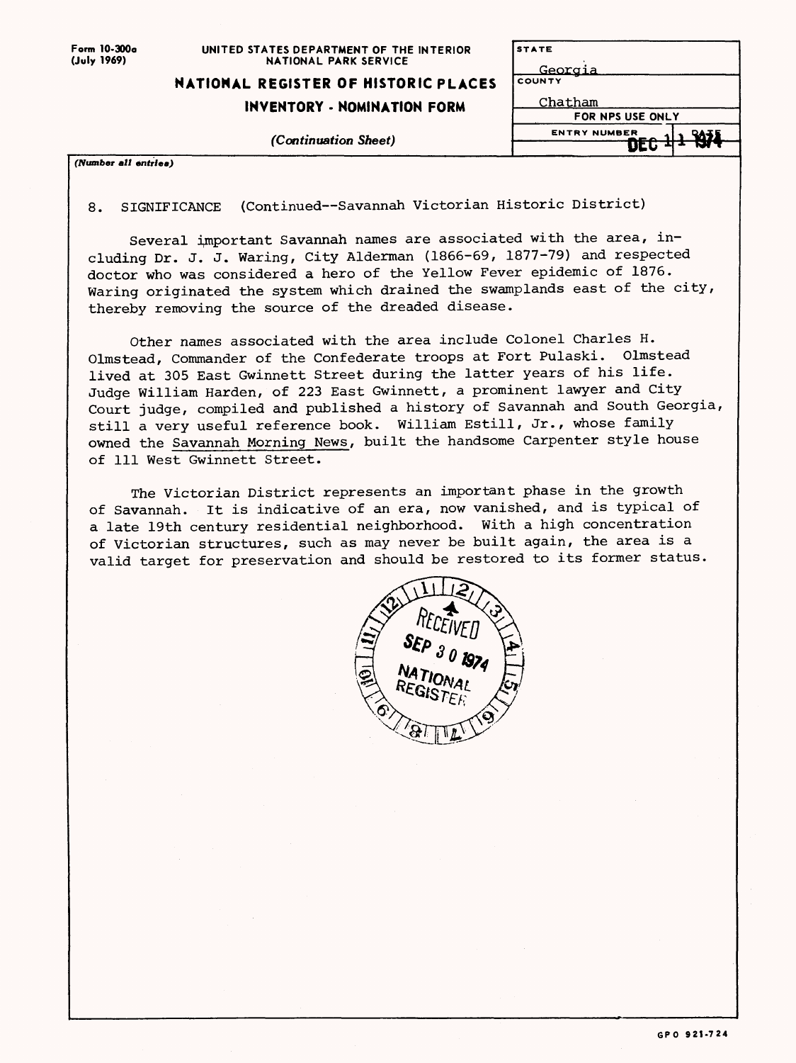| Form 10-300a |
|--------------|
| (July 1969)  |

#### UNITED STATES DEPARTMENT OF THE INTERIOR NATIONAL PARK SERVICE

## **NATIONAL REGISTER OF HISTORIC PLACES**

### **INVENTORY - NOMINATION FORM**

*(Continuation Sheet)*

| <b>STATE</b>        |    |
|---------------------|----|
| <u>Georgia</u>      |    |
| <b>COUNTY</b>       |    |
| Chatham             |    |
| FOR NPS USE ONLY    |    |
| <b>ENTRY NUMBER</b> | 35 |
|                     |    |

(Number all entries)

8. SIGNIFICANCE (Continued—Savannah Victorian Historic District)

Several important Savannah names are associated with the area, including Dr. J. J. Waring, City Alderman (1866-69, 1877-79) and respected doctor who was considered a hero of the Yellow Fever epidemic of 1876. Waring originated the system which drained the swamplands east of the city, thereby removing the source of the dreaded disease.

Other names associated with the area include Colonel Charles H. Olmstead, Commander of the Confederate troops at Fort Pulaski. Olmstead lived at 305 East Gwinnett Street during the latter years of his life. Judge William Harden, of 223 East Gwinnett, a prominent lawyer and City Court judge, compiled and published a history of Savannah and South Georgia, still a very useful reference book. William Estill, Jr., whose family owned the Savannah Morning News, built the handsome Carpenter style house of 111 West Gwinnett Street.

The Victorian District represents an important phase in the growth of Savannah. It is indicative of an era, now vanished, and is typical of a late 19th century residential neighborhood. With a high concentration of Victorian structures, such as may never be built again, the area is a valid target for preservation and should be restored to its former status.